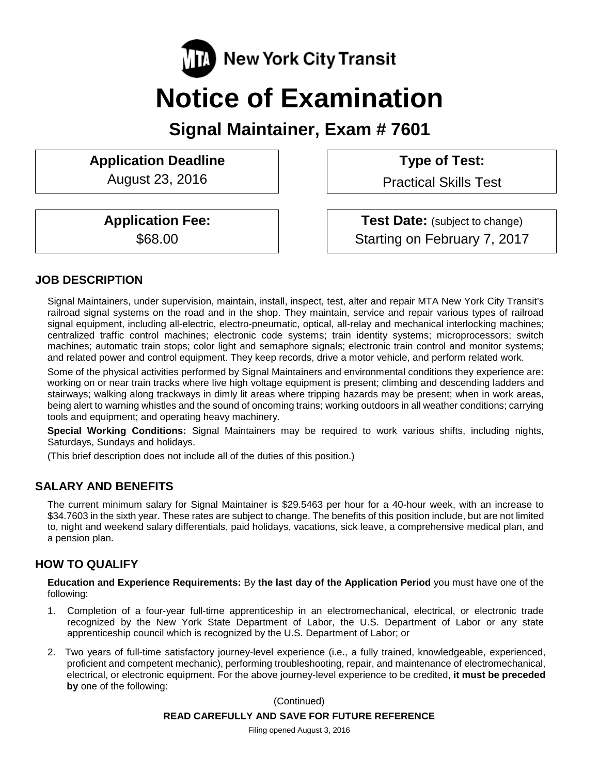

# **Notice of Examination**

**Signal Maintainer, Exam # 7601**

# **Application Deadline Type of Test:**

August 23, 2016 | Practical Skills Test

**Application Fee: Test Date:** (subject to change) \$68.00 Starting on February 7, 2017

# **JOB DESCRIPTION**

Signal Maintainers, under supervision, maintain, install, inspect, test, alter and repair MTA New York City Transit's railroad signal systems on the road and in the shop. They maintain, service and repair various types of railroad signal equipment, including all-electric, electro-pneumatic, optical, all-relay and mechanical interlocking machines; centralized traffic control machines; electronic code systems; train identity systems; microprocessors; switch machines; automatic train stops; color light and semaphore signals; electronic train control and monitor systems; and related power and control equipment. They keep records, drive a motor vehicle, and perform related work.

Some of the physical activities performed by Signal Maintainers and environmental conditions they experience are: working on or near train tracks where live high voltage equipment is present; climbing and descending ladders and stairways; walking along trackways in dimly lit areas where tripping hazards may be present; when in work areas, being alert to warning whistles and the sound of oncoming trains; working outdoors in all weather conditions; carrying tools and equipment; and operating heavy machinery.

**Special Working Conditions:** Signal Maintainers may be required to work various shifts, including nights, Saturdays, Sundays and holidays.

(This brief description does not include all of the duties of this position.)

# **SALARY AND BENEFITS**

The current minimum salary for Signal Maintainer is \$29.5463 per hour for a 40-hour week, with an increase to \$34.7603 in the sixth year. These rates are subject to change. The benefits of this position include, but are not limited to, night and weekend salary differentials, paid holidays, vacations, sick leave, a comprehensive medical plan, and a pension plan.

# **HOW TO QUALIFY**

**Education and Experience Requirements:** By **the last day of the Application Period** you must have one of the following:

- 1. Completion of a four-year full-time apprenticeship in an electromechanical, electrical, or electronic trade recognized by the New York State Department of Labor, the U.S. Department of Labor or any state apprenticeship council which is recognized by the U.S. Department of Labor; or
- 2. Two years of full-time satisfactory journey-level experience (i.e., a fully trained, knowledgeable, experienced, proficient and competent mechanic), performing troubleshooting, repair, and maintenance of electromechanical, electrical, or electronic equipment. For the above journey-level experience to be credited, **it must be preceded by** one of the following:

(Continued)

#### **READ CAREFULLY AND SAVE FOR FUTURE REFERENCE**

Filing opened August 3, 2016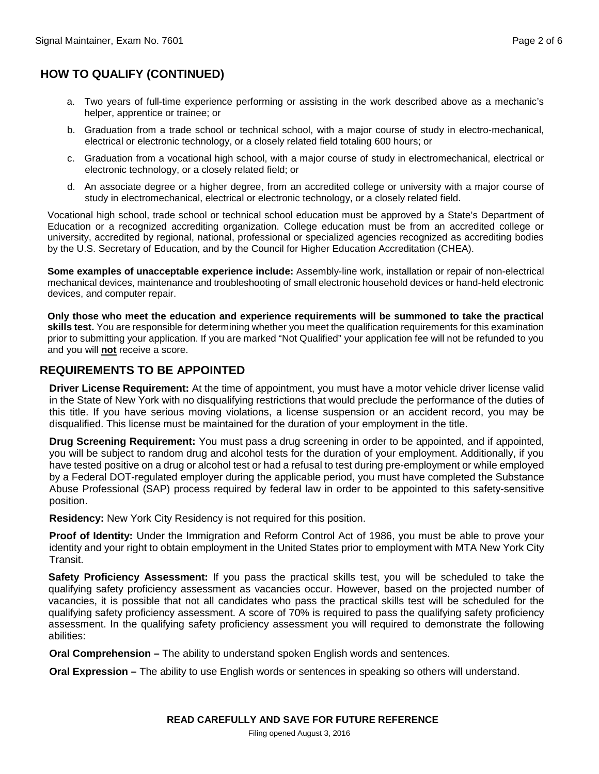# **HOW TO QUALIFY (CONTINUED)**

- a. Two years of full-time experience performing or assisting in the work described above as a mechanic's helper, apprentice or trainee; or
- b. Graduation from a trade school or technical school, with a major course of study in electro-mechanical, electrical or electronic technology, or a closely related field totaling 600 hours; or
- c. Graduation from a vocational high school, with a major course of study in electromechanical, electrical or electronic technology, or a closely related field; or
- d. An associate degree or a higher degree, from an accredited college or university with a major course of study in electromechanical, electrical or electronic technology, or a closely related field.

Vocational high school, trade school or technical school education must be approved by a State's Department of Education or a recognized accrediting organization. College education must be from an accredited college or university, accredited by regional, national, professional or specialized agencies recognized as accrediting bodies by the U.S. Secretary of Education, and by the Council for Higher Education Accreditation (CHEA).

**Some examples of unacceptable experience include:** Assembly-line work, installation or repair of non-electrical mechanical devices, maintenance and troubleshooting of small electronic household devices or hand-held electronic devices, and computer repair.

**Only those who meet the education and experience requirements will be summoned to take the practical skills test.** You are responsible for determining whether you meet the qualification requirements for this examination prior to submitting your application. If you are marked "Not Qualified" your application fee will not be refunded to you and you will **not** receive a score.

# **REQUIREMENTS TO BE APPOINTED**

**Driver License Requirement:** At the time of appointment, you must have a motor vehicle driver license valid in the State of New York with no disqualifying restrictions that would preclude the performance of the duties of this title. If you have serious moving violations, a license suspension or an accident record, you may be disqualified. This license must be maintained for the duration of your employment in the title.

**Drug Screening Requirement:** You must pass a drug screening in order to be appointed, and if appointed, you will be subject to random drug and alcohol tests for the duration of your employment. Additionally, if you have tested positive on a drug or alcohol test or had a refusal to test during pre-employment or while employed by a Federal DOT-regulated employer during the applicable period, you must have completed the Substance Abuse Professional (SAP) process required by federal law in order to be appointed to this safety-sensitive position.

**Residency:** New York City Residency is not required for this position.

**Proof of Identity:** Under the Immigration and Reform Control Act of 1986, you must be able to prove your identity and your right to obtain employment in the United States prior to employment with MTA New York City Transit.

**Safety Proficiency Assessment:** If you pass the practical skills test, you will be scheduled to take the qualifying safety proficiency assessment as vacancies occur. However, based on the projected number of vacancies, it is possible that not all candidates who pass the practical skills test will be scheduled for the qualifying safety proficiency assessment. A score of 70% is required to pass the qualifying safety proficiency assessment. In the qualifying safety proficiency assessment you will required to demonstrate the following abilities:

**Oral Comprehension –** The ability to understand spoken English words and sentences.

**Oral Expression –** The ability to use English words or sentences in speaking so others will understand.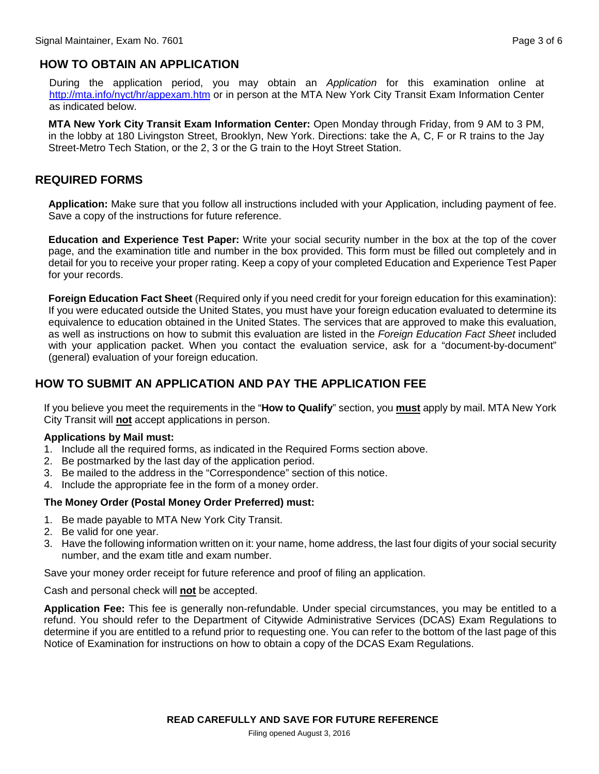# **HOW TO OBTAIN AN APPLICATION**

During the application period, you may obtain an *Application* for this examination online at <http://mta.info/nyct/hr/appexam.htm> or in person at the MTA New York City Transit Exam Information Center as indicated below.

**MTA New York City Transit Exam Information Center:** Open Monday through Friday, from 9 AM to 3 PM, in the lobby at 180 Livingston Street, Brooklyn, New York. Directions: take the A, C, F or R trains to the Jay Street-Metro Tech Station, or the 2, 3 or the G train to the Hoyt Street Station.

# **REQUIRED FORMS**

**Application:** Make sure that you follow all instructions included with your Application, including payment of fee. Save a copy of the instructions for future reference.

**Education and Experience Test Paper:** Write your social security number in the box at the top of the cover page, and the examination title and number in the box provided. This form must be filled out completely and in detail for you to receive your proper rating. Keep a copy of your completed Education and Experience Test Paper for your records.

**Foreign Education Fact Sheet** (Required only if you need credit for your foreign education for this examination): If you were educated outside the United States, you must have your foreign education evaluated to determine its equivalence to education obtained in the United States. The services that are approved to make this evaluation, as well as instructions on how to submit this evaluation are listed in the *Foreign Education Fact Sheet* included with your application packet. When you contact the evaluation service, ask for a "document-by-document" (general) evaluation of your foreign education.

# **HOW TO SUBMIT AN APPLICATION AND PAY THE APPLICATION FEE**

If you believe you meet the requirements in the "**How to Qualify**" section, you **must** apply by mail. MTA New York City Transit will **not** accept applications in person.

#### **Applications by Mail must:**

- 1. Include all the required forms, as indicated in the Required Forms section above.
- 2. Be postmarked by the last day of the application period.
- 3. Be mailed to the address in the "Correspondence" section of this notice.
- 4. Include the appropriate fee in the form of a money order.

#### **The Money Order (Postal Money Order Preferred) must:**

- 1. Be made payable to MTA New York City Transit.
- 2. Be valid for one year.
- 3. Have the following information written on it: your name, home address, the last four digits of your social security number, and the exam title and exam number.

Save your money order receipt for future reference and proof of filing an application.

Cash and personal check will **not** be accepted.

**Application Fee:** This fee is generally non-refundable. Under special circumstances, you may be entitled to a refund. You should refer to the Department of Citywide Administrative Services (DCAS) Exam Regulations to determine if you are entitled to a refund prior to requesting one. You can refer to the bottom of the last page of this Notice of Examination for instructions on how to obtain a copy of the DCAS Exam Regulations.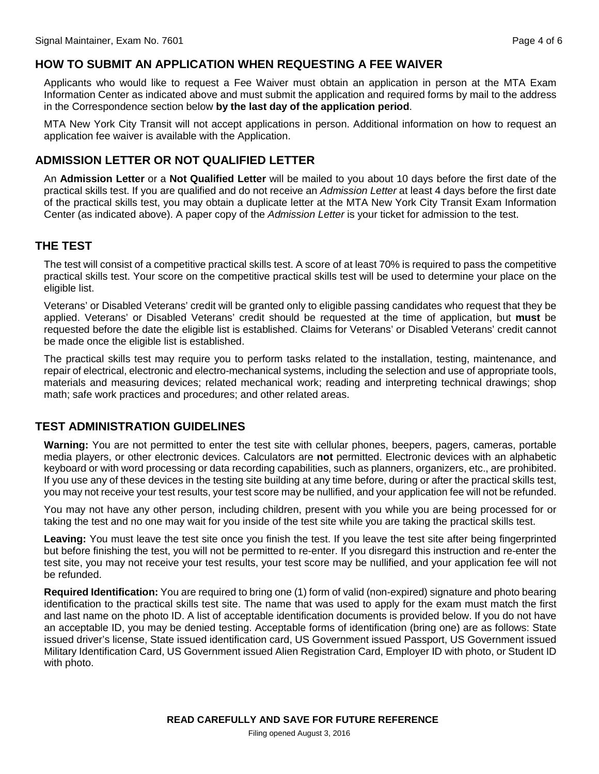# **HOW TO SUBMIT AN APPLICATION WHEN REQUESTING A FEE WAIVER**

Applicants who would like to request a Fee Waiver must obtain an application in person at the MTA Exam Information Center as indicated above and must submit the application and required forms by mail to the address in the Correspondence section below **by the last day of the application period**.

MTA New York City Transit will not accept applications in person. Additional information on how to request an application fee waiver is available with the Application.

# **ADMISSION LETTER OR NOT QUALIFIED LETTER**

An **Admission Letter** or a **Not Qualified Letter** will be mailed to you about 10 days before the first date of the practical skills test. If you are qualified and do not receive an *Admission Letter* at least 4 days before the first date of the practical skills test, you may obtain a duplicate letter at the MTA New York City Transit Exam Information Center (as indicated above). A paper copy of the *Admission Letter* is your ticket for admission to the test.

# **THE TEST**

The test will consist of a competitive practical skills test. A score of at least 70% is required to pass the competitive practical skills test. Your score on the competitive practical skills test will be used to determine your place on the eligible list.

Veterans' or Disabled Veterans' credit will be granted only to eligible passing candidates who request that they be applied. Veterans' or Disabled Veterans' credit should be requested at the time of application, but **must** be requested before the date the eligible list is established. Claims for Veterans' or Disabled Veterans' credit cannot be made once the eligible list is established.

The practical skills test may require you to perform tasks related to the installation, testing, maintenance, and repair of electrical, electronic and electro-mechanical systems, including the selection and use of appropriate tools, materials and measuring devices; related mechanical work; reading and interpreting technical drawings; shop math; safe work practices and procedures; and other related areas.

# **TEST ADMINISTRATION GUIDELINES**

**Warning:** You are not permitted to enter the test site with cellular phones, beepers, pagers, cameras, portable media players, or other electronic devices. Calculators are **not** permitted. Electronic devices with an alphabetic keyboard or with word processing or data recording capabilities, such as planners, organizers, etc., are prohibited. If you use any of these devices in the testing site building at any time before, during or after the practical skills test, you may not receive your test results, your test score may be nullified, and your application fee will not be refunded.

You may not have any other person, including children, present with you while you are being processed for or taking the test and no one may wait for you inside of the test site while you are taking the practical skills test.

**Leaving:** You must leave the test site once you finish the test. If you leave the test site after being fingerprinted but before finishing the test, you will not be permitted to re-enter. If you disregard this instruction and re-enter the test site, you may not receive your test results, your test score may be nullified, and your application fee will not be refunded.

**Required Identification:** You are required to bring one (1) form of valid (non-expired) signature and photo bearing identification to the practical skills test site. The name that was used to apply for the exam must match the first and last name on the photo ID. A list of acceptable identification documents is provided below. If you do not have an acceptable ID, you may be denied testing. Acceptable forms of identification (bring one) are as follows: State issued driver's license, State issued identification card, US Government issued Passport, US Government issued Military Identification Card, US Government issued Alien Registration Card, Employer ID with photo, or Student ID with photo.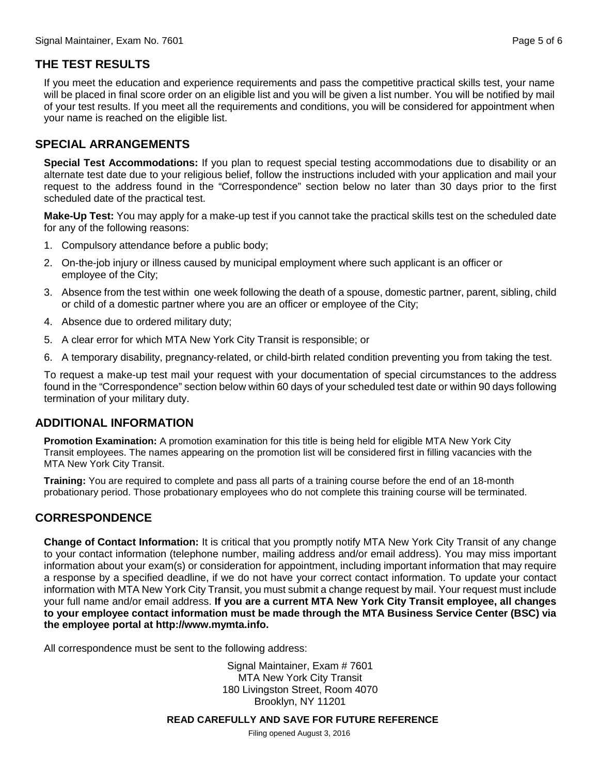# **THE TEST RESULTS**

If you meet the education and experience requirements and pass the competitive practical skills test, your name will be placed in final score order on an eligible list and you will be given a list number. You will be notified by mail of your test results. If you meet all the requirements and conditions, you will be considered for appointment when your name is reached on the eligible list.

### **SPECIAL ARRANGEMENTS**

**Special Test Accommodations:** If you plan to request special testing accommodations due to disability or an alternate test date due to your religious belief, follow the instructions included with your application and mail your request to the address found in the "Correspondence" section below no later than 30 days prior to the first scheduled date of the practical test.

**Make-Up Test:** You may apply for a make-up test if you cannot take the practical skills test on the scheduled date for any of the following reasons:

- 1. Compulsory attendance before a public body;
- 2. On-the-job injury or illness caused by municipal employment where such applicant is an officer or employee of the City;
- 3. Absence from the test within one week following the death of a spouse, domestic partner, parent, sibling, child or child of a domestic partner where you are an officer or employee of the City;
- 4. Absence due to ordered military duty;
- 5. A clear error for which MTA New York City Transit is responsible; or
- 6. A temporary disability, pregnancy-related, or child-birth related condition preventing you from taking the test.

To request a make-up test mail your request with your documentation of special circumstances to the address found in the "Correspondence" section below within 60 days of your scheduled test date or within 90 days following termination of your military duty.

# **ADDITIONAL INFORMATION**

**Promotion Examination:** A promotion examination for this title is being held for eligible MTA New York City Transit employees. The names appearing on the promotion list will be considered first in filling vacancies with the MTA New York City Transit.

**Training:** You are required to complete and pass all parts of a training course before the end of an 18-month probationary period. Those probationary employees who do not complete this training course will be terminated.

# **CORRESPONDENCE**

**Change of Contact Information:** It is critical that you promptly notify MTA New York City Transit of any change to your contact information (telephone number, mailing address and/or email address). You may miss important information about your exam(s) or consideration for appointment, including important information that may require a response by a specified deadline, if we do not have your correct contact information. To update your contact information with MTA New York City Transit, you must submit a change request by mail. Your request must include your full name and/or email address. **If you are a current MTA New York City Transit employee, all changes to your employee contact information must be made through the MTA Business Service Center (BSC) via the employee portal at [http://www.mymta.info.](http://www.mtabsc.info/)**

All correspondence must be sent to the following address:

Signal Maintainer, Exam # 7601 MTA New York City Transit 180 Livingston Street, Room 4070 Brooklyn, NY 11201

**READ CAREFULLY AND SAVE FOR FUTURE REFERENCE**

Filing opened August 3, 2016